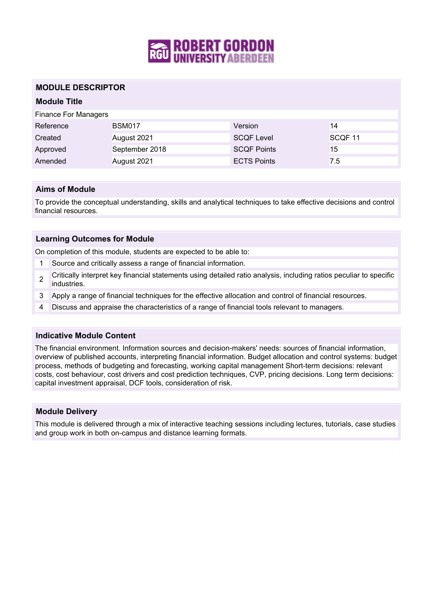

# **MODULE DESCRIPTOR**

# **Module Title**

| <b>Finance For Managers</b> |                |                    |         |
|-----------------------------|----------------|--------------------|---------|
| Reference                   | <b>BSM017</b>  | Version            | 14      |
| Created                     | August 2021    | <b>SCQF Level</b>  | SCQF 11 |
| Approved                    | September 2018 | <b>SCQF Points</b> | 15      |
| Amended                     | August 2021    | <b>ECTS Points</b> | 7.5     |

### **Aims of Module**

To provide the conceptual understanding, skills and analytical techniques to take effective decisions and control financial resources.

#### **Learning Outcomes for Module**

On completion of this module, students are expected to be able to:

- 1 Source and critically assess a range of financial information.
- $\mathfrak{p}$ Critically interpret key financial statements using detailed ratio analysis, including ratios peculiar to specific industries.
- 3 Apply a range of financial techniques for the effective allocation and control of financial resources.
- 4 Discuss and appraise the characteristics of a range of financial tools relevant to managers.

#### **Indicative Module Content**

The financial environment. Information sources and decision-makers' needs: sources of financial information, overview of published accounts, interpreting financial information. Budget allocation and control systems: budget process, methods of budgeting and forecasting, working capital management Short-term decisions: relevant costs, cost behaviour, cost drivers and cost prediction techniques, CVP, pricing decisions. Long term decisions: capital investment appraisal, DCF tools, consideration of risk.

#### **Module Delivery**

This module is delivered through a mix of interactive teaching sessions including lectures, tutorials, case studies and group work in both on-campus and distance learning formats.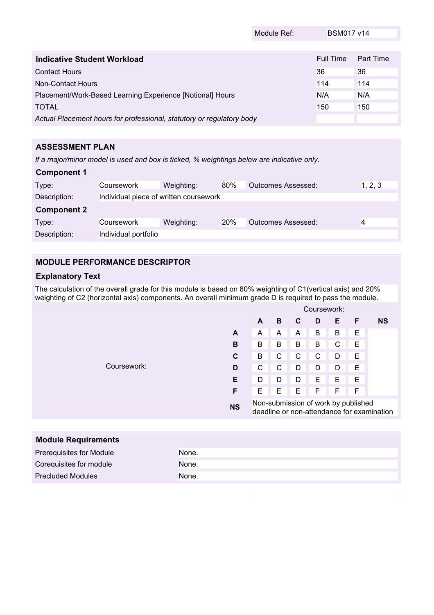|                                                                       | Module Ref: | <b>BSM017 v14</b> |           |
|-----------------------------------------------------------------------|-------------|-------------------|-----------|
|                                                                       |             |                   |           |
| Indicative Student Workload                                           |             | Full Time         | Part Time |
| <b>Contact Hours</b>                                                  |             | 36                | 36        |
| Non-Contact Hours                                                     |             | 114               | 114       |
| Placement/Work-Based Learning Experience [Notional] Hours             |             |                   | N/A       |
| <b>TOTAL</b>                                                          |             | 150               | 150       |
| Actual Placement hours for professional, statutory or regulatory body |             |                   |           |

# **ASSESSMENT PLAN**

*If a major/minor model is used and box is ticked, % weightings below are indicative only.*

| <b>Component 1</b> |                                        |            |     |                           |         |
|--------------------|----------------------------------------|------------|-----|---------------------------|---------|
| Type:              | Coursework                             | Weighting: | 80% | Outcomes Assessed:        | 1, 2, 3 |
| Description:       | Individual piece of written coursework |            |     |                           |         |
| <b>Component 2</b> |                                        |            |     |                           |         |
|                    |                                        |            |     |                           |         |
| Type:              | Coursework                             | Weighting: | 20% | <b>Outcomes Assessed:</b> |         |

# **MODULE PERFORMANCE DESCRIPTOR**

# **Explanatory Text**

The calculation of the overall grade for this module is based on 80% weighting of C1(vertical axis) and 20% weighting of C2 (horizontal axis) components. An overall minimum grade D is required to pass the module.

|             |           | Coursework:                                                                       |   |   |   |   |   |           |
|-------------|-----------|-----------------------------------------------------------------------------------|---|---|---|---|---|-----------|
|             |           | A                                                                                 | в | C | D | Е | F | <b>NS</b> |
|             | A         | A                                                                                 | A | A | Β | Β | Е |           |
|             | в         | B                                                                                 | B | B | B | C | Е |           |
|             | C         | B                                                                                 | C | C | C | D | Е |           |
| Coursework: | D         | С                                                                                 | C | D | D | D | E |           |
|             | Е         | D                                                                                 | D | D | Е | E | E |           |
|             | F         | Е                                                                                 | Е | Е | F | F | F |           |
|             | <b>NS</b> | Non-submission of work by published<br>deadline or non-attendance for examination |   |   |   |   |   |           |

| <b>Module Requirements</b> |       |
|----------------------------|-------|
| Prerequisites for Module   | None. |
| Corequisites for module    | None. |
| <b>Precluded Modules</b>   | None. |